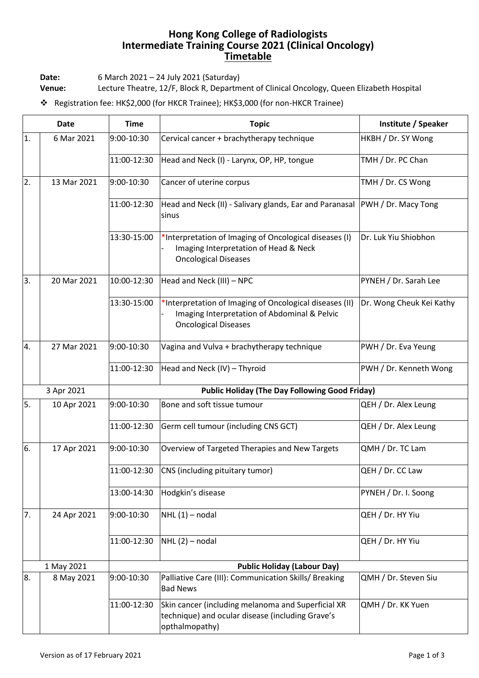## **Hong Kong College of Radiologists Intermediate Training Course 2021 (Clinical Oncology) Timetable**

**Date:** 6 March 2021 – 24 July 2021 (Saturday)

**Venue:** Lecture Theatre, 12/F, Block R, Department of Clinical Oncology, Queen Elizabeth Hospital

❖ Registration fee: HK\$2,000 (for HKCR Trainee); HK\$3,000 (for non-HKCR Trainee)

| <b>Date</b> |             | <b>Time</b>                                           | <b>Topic</b>                                                                                                                           | Institute / Speaker        |
|-------------|-------------|-------------------------------------------------------|----------------------------------------------------------------------------------------------------------------------------------------|----------------------------|
| 1.          | 6 Mar 2021  | 9:00-10:30                                            | Cervical cancer + brachytherapy technique                                                                                              | HKBH / Dr. SY Wong         |
|             |             | 11:00-12:30                                           | Head and Neck (I) - Larynx, OP, HP, tongue                                                                                             | TMH / Dr. PC Chan          |
| 2.          | 13 Mar 2021 | 9:00-10:30                                            | Cancer of uterine corpus                                                                                                               | TMH / Dr. CS Wong          |
|             |             | 11:00-12:30                                           | Head and Neck (II) - Salivary glands, Ear and Paranasal<br>sinus                                                                       | <b>PWH</b> / Dr. Macy Tong |
|             |             | 13:30-15:00                                           | *Interpretation of Imaging of Oncological diseases (I)<br>Imaging Interpretation of Head & Neck<br><b>Oncological Diseases</b>         | Dr. Luk Yiu Shiobhon       |
| 3.          | 20 Mar 2021 | 10:00-12:30                                           | Head and Neck (III) - NPC                                                                                                              | PYNEH / Dr. Sarah Lee      |
|             |             | 13:30-15:00                                           | *Interpretation of Imaging of Oncological diseases (II)<br>Imaging Interpretation of Abdominal & Pelvic<br><b>Oncological Diseases</b> | Dr. Wong Cheuk Kei Kathy   |
| 4.          | 27 Mar 2021 | 9:00-10:30                                            | Vagina and Vulva + brachytherapy technique                                                                                             | PWH / Dr. Eva Yeung        |
|             |             | 11:00-12:30                                           | Head and Neck (IV) - Thyroid                                                                                                           | PWH / Dr. Kenneth Wong     |
| 3 Apr 2021  |             | <b>Public Holiday (The Day Following Good Friday)</b> |                                                                                                                                        |                            |
| 5.          | 10 Apr 2021 | 9:00-10:30                                            | Bone and soft tissue tumour                                                                                                            | QEH / Dr. Alex Leung       |
|             |             | 11:00-12:30                                           | Germ cell tumour (including CNS GCT)                                                                                                   | QEH / Dr. Alex Leung       |
| 6.          | 17 Apr 2021 | 9:00-10:30                                            | Overview of Targeted Therapies and New Targets                                                                                         | QMH / Dr. TC Lam           |
|             |             | 11:00-12:30                                           | CNS (including pituitary tumor)                                                                                                        | QEH / Dr. CC Law           |
|             |             | 13:00-14:30                                           | Hodgkin's disease                                                                                                                      | PYNEH / Dr. I. Soong       |
| 7.          | 24 Apr 2021 | 9:00-10:30                                            | NHL (1) - nodal                                                                                                                        | QEH / Dr. HY Yiu           |
|             |             | 11:00-12:30                                           | $NHL(2)$ – nodal                                                                                                                       | QEH / Dr. HY Yiu           |
|             | 1 May 2021  |                                                       |                                                                                                                                        |                            |
| 8.          | 8 May 2021  | 9:00-10:30                                            | Palliative Care (III): Communication Skills/ Breaking<br><b>Bad News</b>                                                               | QMH / Dr. Steven Siu       |
|             |             | 11:00-12:30                                           | Skin cancer (including melanoma and Superficial XR<br>technique) and ocular disease (including Grave's<br>opthalmopathy)               | QMH / Dr. KK Yuen          |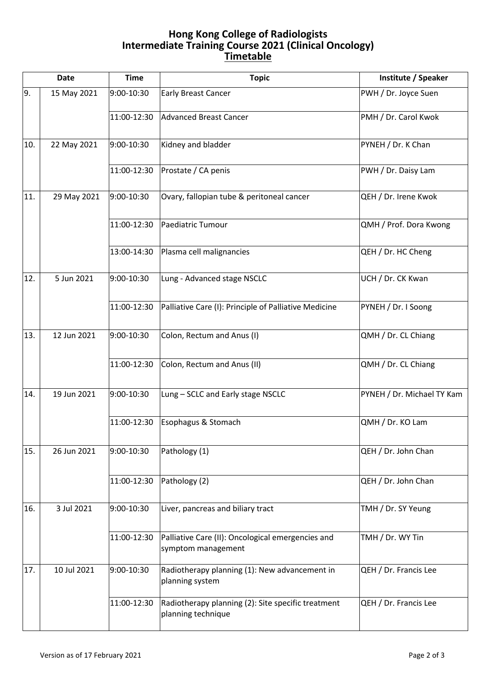## **Hong Kong College of Radiologists Intermediate Training Course 2021 (Clinical Oncology) Timetable**

| <b>Date</b> |             | <b>Time</b> | <b>Topic</b>                                                             | Institute / Speaker        |
|-------------|-------------|-------------|--------------------------------------------------------------------------|----------------------------|
| 9.          | 15 May 2021 | 9:00-10:30  | <b>Early Breast Cancer</b>                                               | PWH / Dr. Joyce Suen       |
|             |             | 11:00-12:30 | <b>Advanced Breast Cancer</b>                                            | PMH / Dr. Carol Kwok       |
| 10.         | 22 May 2021 | 9:00-10:30  | Kidney and bladder                                                       | PYNEH / Dr. K Chan         |
|             |             | 11:00-12:30 | Prostate / CA penis                                                      | PWH / Dr. Daisy Lam        |
| 11.         | 29 May 2021 | 9:00-10:30  | Ovary, fallopian tube & peritoneal cancer                                | QEH / Dr. Irene Kwok       |
|             |             | 11:00-12:30 | Paediatric Tumour                                                        | QMH / Prof. Dora Kwong     |
|             |             | 13:00-14:30 | Plasma cell malignancies                                                 | QEH / Dr. HC Cheng         |
| 12.         | 5 Jun 2021  | 9:00-10:30  | Lung - Advanced stage NSCLC                                              | UCH / Dr. CK Kwan          |
|             |             | 11:00-12:30 | Palliative Care (I): Principle of Palliative Medicine                    | PYNEH / Dr. I Soong        |
| 13.         | 12 Jun 2021 | 9:00-10:30  | Colon, Rectum and Anus (I)                                               | QMH / Dr. CL Chiang        |
|             |             | 11:00-12:30 | Colon, Rectum and Anus (II)                                              | QMH / Dr. CL Chiang        |
| 14.         | 19 Jun 2021 | 9:00-10:30  | Lung - SCLC and Early stage NSCLC                                        | PYNEH / Dr. Michael TY Kam |
|             |             | 11:00-12:30 | Esophagus & Stomach                                                      | QMH / Dr. KO Lam           |
| 15.         | 26 Jun 2021 | 9:00-10:30  | Pathology (1)                                                            | QEH / Dr. John Chan        |
|             |             | 11:00-12:30 | Pathology (2)                                                            | QEH / Dr. John Chan        |
| 16.         | 3 Jul 2021  | 9:00-10:30  | Liver, pancreas and biliary tract                                        | TMH / Dr. SY Yeung         |
|             |             | 11:00-12:30 | Palliative Care (II): Oncological emergencies and<br>symptom management  | TMH / Dr. WY Tin           |
| 17.         | 10 Jul 2021 | 9:00-10:30  | Radiotherapy planning (1): New advancement in<br>planning system         | QEH / Dr. Francis Lee      |
|             |             | 11:00-12:30 | Radiotherapy planning (2): Site specific treatment<br>planning technique | QEH / Dr. Francis Lee      |